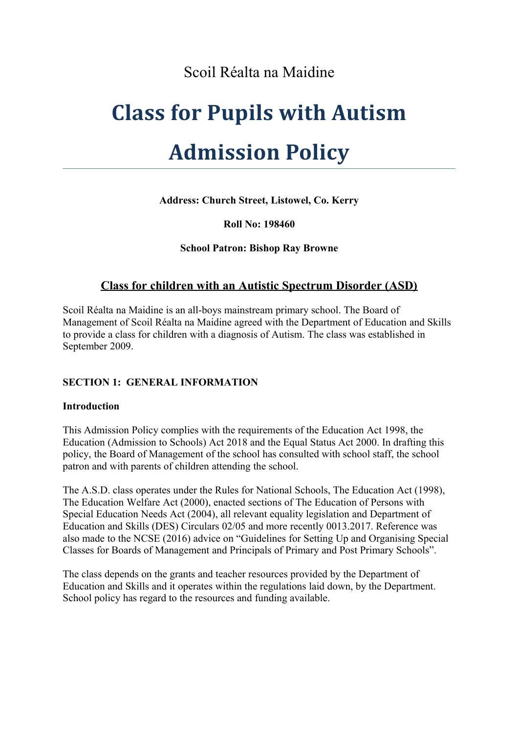# Scoil Réalta na Maidine

# **Class for Pupils with Autism**

# **Admission Policy**

**Address: Church Street, Listowel, Co. Kerry**

## **Roll No: 198460**

## **School Patron: Bishop Ray Browne**

# **Class for children with an Autistic Spectrum Disorder (ASD)**

Scoil Réalta na Maidine is an all-boys mainstream primary school. The Board of Management of Scoil Réalta na Maidine agreed with the Department of Education and Skills to provide a class for children with a diagnosis of Autism. The class was established in September 2009.

#### **SECTION 1: GENERAL INFORMATION**

#### **Introduction**

This Admission Policy complies with the requirements of the Education Act 1998, the Education (Admission to Schools) Act 2018 and the Equal Status Act 2000. In drafting this policy, the Board of Management of the school has consulted with school staff, the school patron and with parents of children attending the school.

The A.S.D. class operates under the Rules for National Schools, The Education Act (1998), The Education Welfare Act (2000), enacted sections of The Education of Persons with Special Education Needs Act (2004), all relevant equality legislation and Department of Education and Skills (DES) Circulars 02/05 and more recently 0013.2017. Reference was also made to the NCSE (2016) advice on "Guidelines for Setting Up and Organising Special Classes for Boards of Management and Principals of Primary and Post Primary Schools".

The class depends on the grants and teacher resources provided by the Department of Education and Skills and it operates within the regulations laid down, by the Department. School policy has regard to the resources and funding available.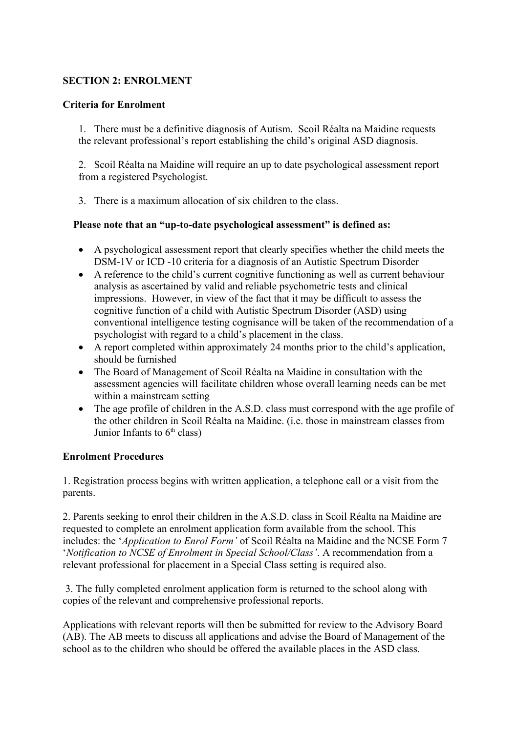#### **SECTION 2: ENROLMENT**

#### **Criteria for Enrolment**

1. There must be a definitive diagnosis of Autism. Scoil Réalta na Maidine requests the relevant professional's report establishing the child's original ASD diagnosis.

2. Scoil Réalta na Maidine will require an up to date psychological assessment report from a registered Psychologist.

3. There is a maximum allocation of six children to the class.

#### **Please note that an "up-to-date psychological assessment" is defined as:**

- A psychological assessment report that clearly specifies whether the child meets the DSM-1V or ICD -10 criteria for a diagnosis of an Autistic Spectrum Disorder
- A reference to the child's current cognitive functioning as well as current behaviour analysis as ascertained by valid and reliable psychometric tests and clinical impressions. However, in view of the fact that it may be difficult to assess the cognitive function of a child with Autistic Spectrum Disorder (ASD) using conventional intelligence testing cognisance will be taken of the recommendation of a psychologist with regard to a child's placement in the class.
- A report completed within approximately 24 months prior to the child's application, should be furnished
- The Board of Management of Scoil Réalta na Maidine in consultation with the assessment agencies will facilitate children whose overall learning needs can be met within a mainstream setting
- The age profile of children in the A.S.D. class must correspond with the age profile of the other children in Scoil Réalta na Maidine. (i.e. those in mainstream classes from Junior Infants to  $6<sup>th</sup>$  class)

#### **Enrolment Procedures**

1. Registration process begins with written application, a telephone call or a visit from the parents.

2. Parents seeking to enrol their children in the A.S.D. class in Scoil Réalta na Maidine are requested to complete an enrolment application form available from the school. This includes: the '*Application to Enrol Form'* of Scoil Réalta na Maidine and the NCSE Form 7 '*Notification to NCSE of Enrolment in Special School/Class'*. A recommendation from a relevant professional for placement in a Special Class setting is required also.

 3. The fully completed enrolment application form is returned to the school along with copies of the relevant and comprehensive professional reports.

Applications with relevant reports will then be submitted for review to the Advisory Board (AB). The AB meets to discuss all applications and advise the Board of Management of the school as to the children who should be offered the available places in the ASD class.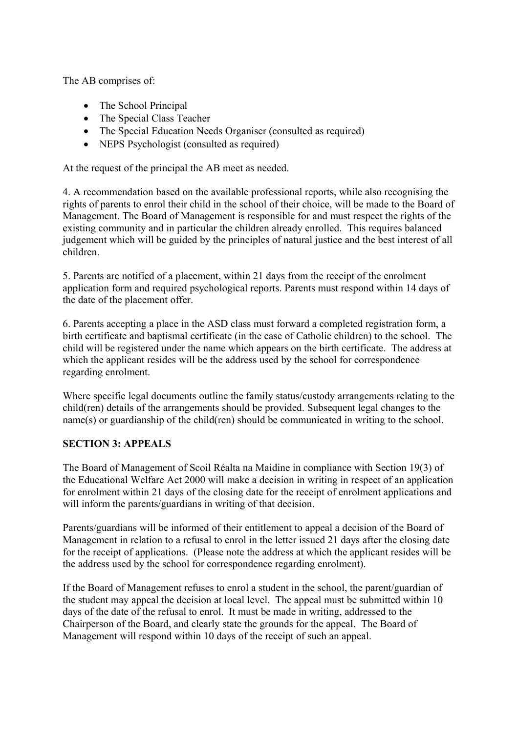The AB comprises of:

- The School Principal
- The Special Class Teacher
- The Special Education Needs Organiser (consulted as required)
- NEPS Psychologist (consulted as required)

At the request of the principal the AB meet as needed.

4. A recommendation based on the available professional reports, while also recognising the rights of parents to enrol their child in the school of their choice, will be made to the Board of Management. The Board of Management is responsible for and must respect the rights of the existing community and in particular the children already enrolled. This requires balanced judgement which will be guided by the principles of natural justice and the best interest of all children.

5. Parents are notified of a placement, within 21 days from the receipt of the enrolment application form and required psychological reports. Parents must respond within 14 days of the date of the placement offer.

6. Parents accepting a place in the ASD class must forward a completed registration form, a birth certificate and baptismal certificate (in the case of Catholic children) to the school. The child will be registered under the name which appears on the birth certificate. The address at which the applicant resides will be the address used by the school for correspondence regarding enrolment.

Where specific legal documents outline the family status/custody arrangements relating to the child(ren) details of the arrangements should be provided. Subsequent legal changes to the name(s) or guardianship of the child(ren) should be communicated in writing to the school.

#### **SECTION 3: APPEALS**

The Board of Management of Scoil Réalta na Maidine in compliance with Section 19(3) of the Educational Welfare Act 2000 will make a decision in writing in respect of an application for enrolment within 21 days of the closing date for the receipt of enrolment applications and will inform the parents/guardians in writing of that decision.

Parents/guardians will be informed of their entitlement to appeal a decision of the Board of Management in relation to a refusal to enrol in the letter issued 21 days after the closing date for the receipt of applications. (Please note the address at which the applicant resides will be the address used by the school for correspondence regarding enrolment).

If the Board of Management refuses to enrol a student in the school, the parent/guardian of the student may appeal the decision at local level. The appeal must be submitted within 10 days of the date of the refusal to enrol. It must be made in writing, addressed to the Chairperson of the Board, and clearly state the grounds for the appeal. The Board of Management will respond within 10 days of the receipt of such an appeal.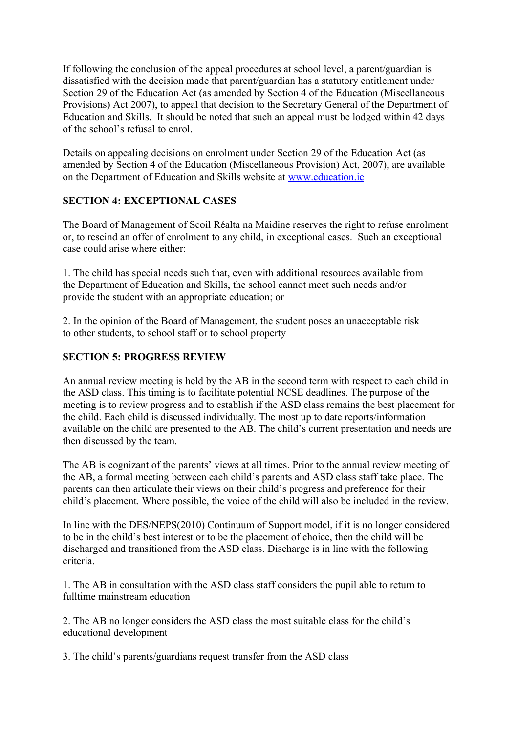If following the conclusion of the appeal procedures at school level, a parent/guardian is dissatisfied with the decision made that parent/guardian has a statutory entitlement under Section 29 of the Education Act (as amended by Section 4 of the Education (Miscellaneous Provisions) Act 2007), to appeal that decision to the Secretary General of the Department of Education and Skills. It should be noted that such an appeal must be lodged within 42 days of the school's refusal to enrol.

Details on appealing decisions on enrolment under Section 29 of the Education Act (as amended by Section 4 of the Education (Miscellaneous Provision) Act, 2007), are available on the Department of Education and Skills website at [www.education.ie](http://www.education.ie/)

## **SECTION 4: EXCEPTIONAL CASES**

The Board of Management of Scoil Réalta na Maidine reserves the right to refuse enrolment or, to rescind an offer of enrolment to any child, in exceptional cases. Such an exceptional case could arise where either:

1. The child has special needs such that, even with additional resources available from the Department of Education and Skills, the school cannot meet such needs and/or provide the student with an appropriate education; or

2. In the opinion of the Board of Management, the student poses an unacceptable risk to other students, to school staff or to school property

#### **SECTION 5: PROGRESS REVIEW**

An annual review meeting is held by the AB in the second term with respect to each child in the ASD class. This timing is to facilitate potential NCSE deadlines. The purpose of the meeting is to review progress and to establish if the ASD class remains the best placement for the child. Each child is discussed individually. The most up to date reports/information available on the child are presented to the AB. The child's current presentation and needs are then discussed by the team.

The AB is cognizant of the parents' views at all times. Prior to the annual review meeting of the AB, a formal meeting between each child's parents and ASD class staff take place. The parents can then articulate their views on their child's progress and preference for their child's placement. Where possible, the voice of the child will also be included in the review.

In line with the DES/NEPS(2010) Continuum of Support model, if it is no longer considered to be in the child's best interest or to be the placement of choice, then the child will be discharged and transitioned from the ASD class. Discharge is in line with the following criteria.

1. The AB in consultation with the ASD class staff considers the pupil able to return to fulltime mainstream education

2. The AB no longer considers the ASD class the most suitable class for the child's educational development

3. The child's parents/guardians request transfer from the ASD class